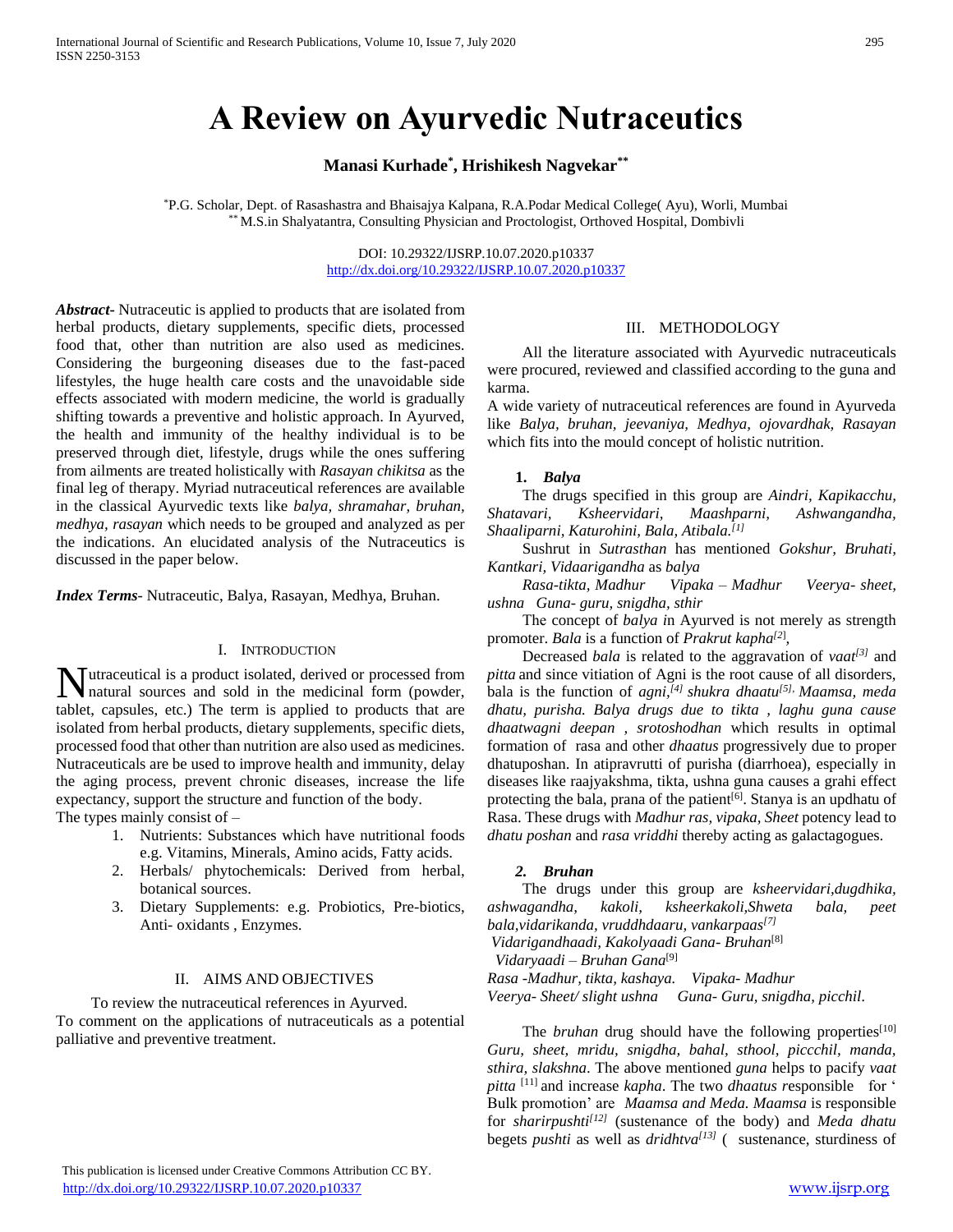# **A Review on Ayurvedic Nutraceutics**

# **Manasi Kurhade\* , Hrishikesh Nagvekar\*\***

\*P.G. Scholar, Dept. of Rasashastra and Bhaisajya Kalpana, R.A.Podar Medical College( Ayu), Worli, Mumbai \*\* M.S.in Shalyatantra, Consulting Physician and Proctologist, Orthoved Hospital, Dombivli

> DOI: 10.29322/IJSRP.10.07.2020.p10337 <http://dx.doi.org/10.29322/IJSRP.10.07.2020.p10337>

*Abstract***-** Nutraceutic is applied to products that are isolated from herbal products, dietary supplements, specific diets, processed food that, other than nutrition are also used as medicines. Considering the burgeoning diseases due to the fast-paced lifestyles, the huge health care costs and the unavoidable side effects associated with modern medicine, the world is gradually shifting towards a preventive and holistic approach. In Ayurved, the health and immunity of the healthy individual is to be preserved through diet, lifestyle, drugs while the ones suffering from ailments are treated holistically with *Rasayan chikitsa* as the final leg of therapy. Myriad nutraceutical references are available in the classical Ayurvedic texts like *balya, shramahar, bruhan, medhya, rasayan* which needs to be grouped and analyzed as per the indications. An elucidated analysis of the Nutraceutics is discussed in the paper below.

*Index Terms*- Nutraceutic, Balya, Rasayan, Medhya, Bruhan.

#### I. INTRODUCTION

utraceutical is a product isolated, derived or processed from Mutraceutical is a product isolated, derived or processed from<br>
natural sources and sold in the medicinal form (powder, tablet, capsules, etc.) The term is applied to products that are isolated from herbal products, dietary supplements, specific diets, processed food that other than nutrition are also used as medicines. Nutraceuticals are be used to improve health and immunity, delay the aging process, prevent chronic diseases, increase the life expectancy, support the structure and function of the body. The types mainly consist of  $-$ 

> 1. Nutrients: Substances which have nutritional foods e.g. Vitamins, Minerals, Amino acids, Fatty acids.

- 2. Herbals/ phytochemicals: Derived from herbal, botanical sources.
- 3. Dietary Supplements: e.g. Probiotics, Pre-biotics, Anti- oxidants , Enzymes.

#### II. AIMS AND OBJECTIVES

 To review the nutraceutical references in Ayurved. To comment on the applications of nutraceuticals as a potential palliative and preventive treatment.

## III. METHODOLOGY

 All the literature associated with Ayurvedic nutraceuticals were procured, reviewed and classified according to the guna and karma.

A wide variety of nutraceutical references are found in Ayurveda like *Balya, bruhan, jeevaniya, Medhya, ojovardhak, Rasayan* which fits into the mould concept of holistic nutrition.

## **1.** *Balya*

 The drugs specified in this group are *Aindri, Kapikacchu, Shatavari, Ksheervidari, Maashparni, Ashwangandha, Shaaliparni, Katurohini, Bala, Atibala.[1]*

 Sushrut in *Sutrasthan* has mentioned *Gokshur, Bruhati, Kantkari, Vidaarigandha* as *balya*

 *Rasa-tikta, Madhur Vipaka – Madhur Veerya- sheet, ushna Guna- guru, snigdha, sthir*

 The concept of *balya i*n Ayurved is not merely as strength promoter. *Bala* is a function of *Prakrut kapha[2*] *,*

 Decreased *bala* is related to the aggravation of *vaat[3]* and *pitta* and since vitiation of Agni is the root cause of all disorders, bala is the function of *agni,[4] shukra dhaatu[5], Maamsa, meda dhatu, purisha. Balya drugs due to tikta , laghu guna cause dhaatwagni deepan , srotoshodhan* which results in optimal formation of rasa and other *dhaatus* progressively due to proper dhatuposhan. In atipravrutti of purisha (diarrhoea), especially in diseases like raajyakshma, tikta, ushna guna causes a grahi effect protecting the bala, prana of the patient<sup>[6]</sup>. Stanya is an updhatu of Rasa. These drugs with *Madhur ras, vipaka, Sheet* potency lead to *dhatu poshan* and *rasa vriddhi* thereby acting as galactagogues.

#### *2. Bruhan*

 The drugs under this group are *ksheervidari,dugdhika, ashwagandha, kakoli, ksheerkakoli,Shweta bala, peet bala,vidarikanda, vruddhdaaru, vankarpaas[7] Vidarigandhaadi, Kakolyaadi Gana- Bruhan*[8] *Vidaryaadi – Bruhan Gana*[9] *Rasa -Madhur, tikta, kashaya. Vipaka- Madhur Veerya- Sheet/ slight ushna Guna- Guru, snigdha, picchil*.

The *bruhan* drug should have the following properties<sup>[10]</sup> *Guru, sheet, mridu, snigdha, bahal, sthool, piccchil, manda, sthira, slakshna*. The above mentioned *guna* helps to pacify *vaat pitta* [11] and increase *kapha*. The two *dhaatus r*esponsible for ' Bulk promotion' are *Maamsa and Meda. Maamsa* is responsible for *sharirpushti[12]* (sustenance of the body) and *Meda dhatu* begets *pushti* as well as *dridhtva[13]* ( sustenance, sturdiness of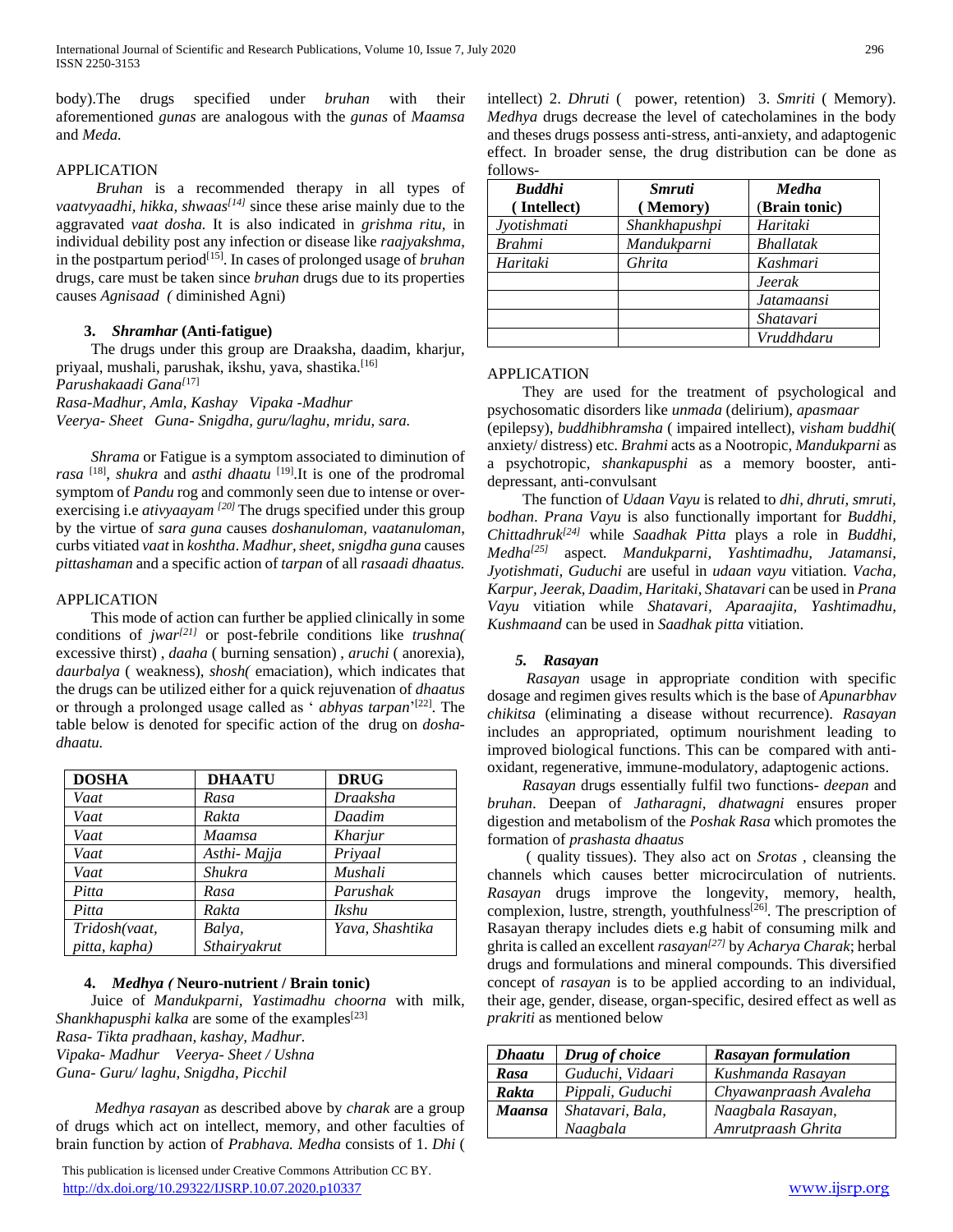body).The drugs specified under *bruhan* with their aforementioned *gunas* are analogous with the *gunas* of *Maamsa* and *Meda.*

## APPLICATION

 *Bruhan* is a recommended therapy in all types of *vaatvyaadhi, hikka, shwaas[14]* since these arise mainly due to the aggravated *vaat dosha.* It is also indicated in *grishma ritu,* in individual debility post any infection or disease like *raajyakshma*, in the postpartum period[15]. In cases of prolonged usage of *bruhan* drugs, care must be taken since *bruhan* drugs due to its properties causes *Agnisaad (* diminished Agni)

### **3.** *Shramhar* **(Anti-fatigue)**

 The drugs under this group are Draaksha, daadim, kharjur, priyaal, mushali, parushak, ikshu, yava, shastika.<sup>[16]</sup>

*Parushakaadi Gana[*17]

*Rasa-Madhur, Amla, Kashay Vipaka -Madhur*

*Veerya- Sheet Guna- Snigdha, guru/laghu, mridu, sara.*

 *Shrama* or Fatigue is a symptom associated to diminution of *rasa* [18] , *shukra* and *asthi dhaatu* [19].It is one of the prodromal symptom of *Pandu* rog and commonly seen due to intense or overexercising i.e *ativyaayam [20]* The drugs specified under this group by the virtue of *sara guna* causes *doshanuloman, vaatanuloman*, curbs vitiated *vaat* in *koshtha*. *Madhur, sheet, snigdha guna* causes *pittashaman* and a specific action of *tarpan* of all *rasaadi dhaatus.* 

## APPLICATION

 This mode of action can further be applied clinically in some conditions of *jwar[21]* or post-febrile conditions like *trushna(* excessive thirst) , *daaha* ( burning sensation) , *aruchi* ( anorexia), *daurbalya* ( weakness), *shosh(* emaciation), which indicates that the drugs can be utilized either for a quick rejuvenation of *dhaatus* or through a prolonged usage called as ' *abhyas tarpan*' [22]. The table below is denoted for specific action of the drug on *doshadhaatu.*

| <b>DOSHA</b>  | <b>DHAATU</b> | <b>DRUG</b>     |
|---------------|---------------|-----------------|
| Vaat          | Rasa          | Draaksha        |
| Vaat          | Rakta         | Daadim          |
| Vaat          | Maamsa        | Kharjur         |
| Vaat          | Asthi-Majja   | Priyaal         |
| Vaat          | Shukra        | Mushali         |
| Pitta         | Rasa          | Parushak        |
| Pitta         | Rakta         | Ikshu           |
| Tridosh(vaat, | Balya,        | Yava, Shashtika |
| pitta, kapha) | Sthairyakrut  |                 |

#### **4.** *Medhya (* **Neuro-nutrient / Brain tonic)**

 Juice of *Mandukparni, Yastimadhu choorna* with milk, *Shankhapusphi kalka* are some of the examples<sup>[23]</sup> *Rasa- Tikta pradhaan, kashay, Madhur. Vipaka- Madhur Veerya- Sheet / Ushna Guna- Guru/ laghu, Snigdha, Picchil*

 *Medhya rasayan* as described above by *charak* are a group of drugs which act on intellect, memory, and other faculties of brain function by action of *Prabhava. Medha* consists of 1. *Dhi* (

 This publication is licensed under Creative Commons Attribution CC BY. <http://dx.doi.org/10.29322/IJSRP.10.07.2020.p10337> [www.ijsrp.org](http://ijsrp.org/)

intellect) 2. *Dhruti* ( power, retention) 3. *Smriti* ( Memory). *Medhya* drugs decrease the level of catecholamines in the body and theses drugs possess anti-stress, anti-anxiety, and adaptogenic effect. In broader sense, the drug distribution can be done as follows-

| <b>Buddhi</b> | <i><b>Smruti</b></i> | <b>Medha</b>      |
|---------------|----------------------|-------------------|
| (Intellect)   | (Memory)             | (Brain tonic)     |
| Jyotishmati   | Shankhapushpi        | Haritaki          |
| <b>Brahmi</b> | Mandukparni          | <b>Bhallatak</b>  |
| Haritaki      | Ghrita               | Kashmari          |
|               |                      | <b>Jeerak</b>     |
|               |                      | <b>Jatamaansi</b> |
|               |                      | Shatavari         |
|               |                      | Vruddhdaru        |

#### APPLICATION

 They are used for the treatment of psychological and psychosomatic disorders like *unmada* (delirium), *apasmaar* (epilepsy), *buddhibhramsha* ( impaired intellect), *visham buddhi*( anxiety/ distress) etc. *Brahmi* acts as a Nootropic, *Mandukparni* as a psychotropic, *shankapusphi* as a memory booster, antidepressant, anti-convulsant

 The function of *Udaan Vayu* is related to *dhi, dhruti, smruti, bodhan*. *Prana Vayu* is also functionally important for *Buddhi, Chittadhruk[24]* while *Saadhak Pitta* plays a role in *Buddhi, Medha[25]* aspect*. Mandukparni, Yashtimadhu, Jatamansi, Jyotishmati, Guduchi* are useful in *udaan vayu* vitiation*. Vacha, Karpur, Jeerak, Daadim, Haritaki, Shatavari* can be used in *Prana Vayu* vitiation while *Shatavari, Aparaajita, Yashtimadhu, Kushmaand* can be used in *Saadhak pitta* vitiation.

#### *5. Rasayan*

 *Rasayan* usage in appropriate condition with specific dosage and regimen gives results which is the base of *Apunarbhav chikitsa* (eliminating a disease without recurrence). *Rasayan*  includes an appropriated, optimum nourishment leading to improved biological functions. This can be compared with antioxidant, regenerative, immune-modulatory, adaptogenic actions.

 *Rasayan* drugs essentially fulfil two functions- *deepan* and *bruhan*. Deepan of *Jatharagni, dhatwagni* ensures proper digestion and metabolism of the *Poshak Rasa* which promotes the formation of *prashasta dhaatus*

 ( quality tissues). They also act on *Srotas ,* cleansing the channels which causes better microcirculation of nutrients. *Rasayan* drugs improve the longevity, memory, health, complexion, lustre, strength, youthfulness<sup>[26]</sup>. The prescription of Rasayan therapy includes diets e.g habit of consuming milk and ghrita is called an excellent *rasayan[27]* by *Acharya Charak*; herbal drugs and formulations and mineral compounds. This diversified concept of *rasayan* is to be applied according to an individual, their age, gender, disease, organ-specific, desired effect as well as *prakriti* as mentioned below

| <b>Dhaatu</b> | Drug of choice   | <b>Rasayan formulation</b> |
|---------------|------------------|----------------------------|
| Rasa          | Guduchi, Vidaari | Kushmanda Rasayan          |
| Rakta         | Pippali, Guduchi | Chyawanpraash Avaleha      |
| Maansa        | Shatavari, Bala, | Naagbala Rasayan,          |
|               | Naagbala         | Amrutpraash Ghrita         |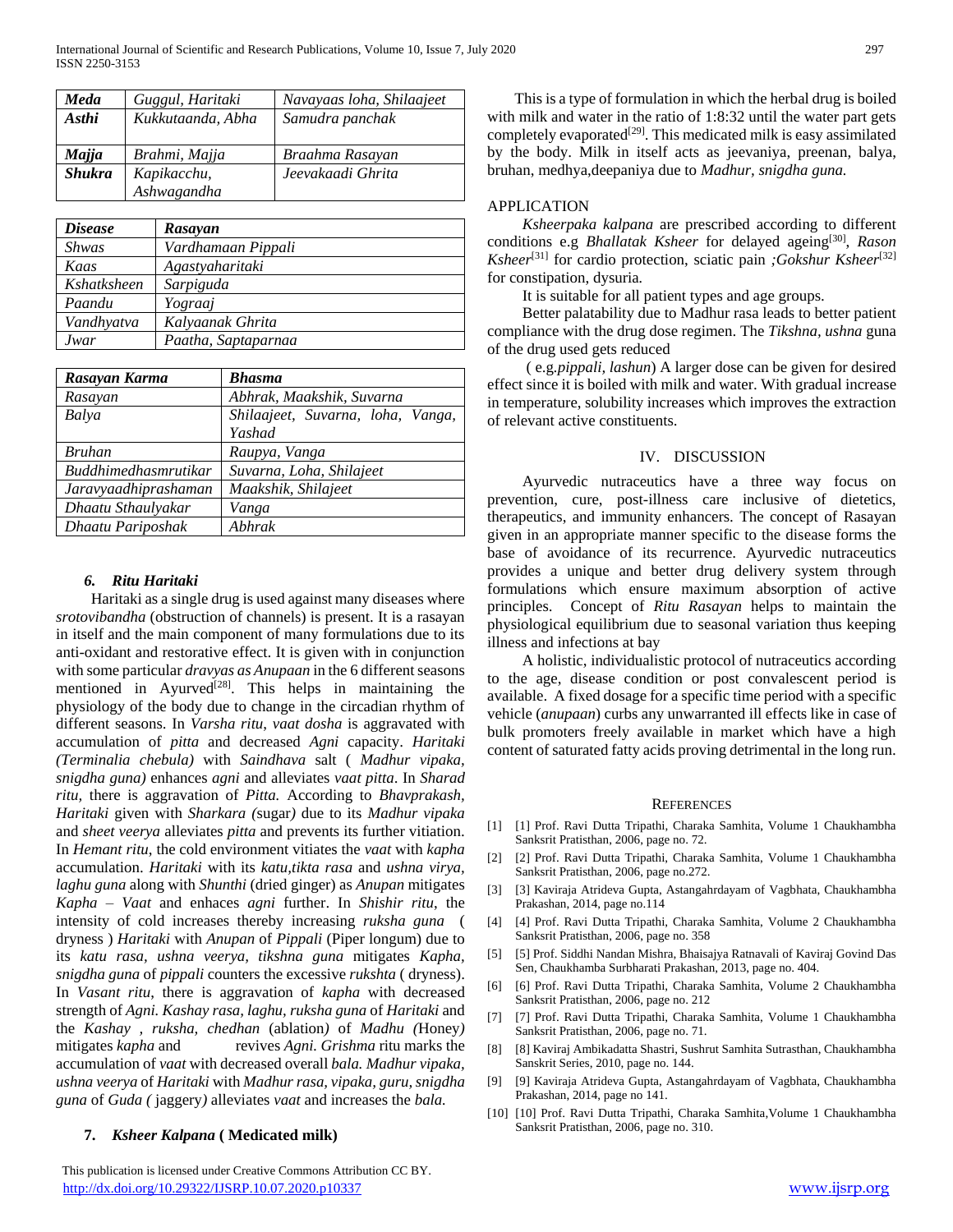| Meda          | Guggul, Haritaki  | Navayaas loha, Shilaajeet |
|---------------|-------------------|---------------------------|
| Asthi         | Kukkutaanda, Abha | Samudra panchak           |
|               |                   |                           |
| <b>Majja</b>  | Brahmi, Majja     | Braahma Rasayan           |
| <b>Shukra</b> | Kapikacchu,       | Jeevakaadi Ghrita         |
|               | Ashwagandha       |                           |

| <i>Disease</i> | Rasayan             |
|----------------|---------------------|
| <b>Shwas</b>   | Vardhamaan Pippali  |
| Kaas           | Agastyaharitaki     |
| Kshatksheen    | Sarpiguda           |
| Paandu         | Yograaj             |
| Vandhyatva     | Kalyaanak Ghrita    |
| Jwar           | Paatha, Saptaparnaa |

| Rasayan Karma               | <b>Bhasma</b>                     |
|-----------------------------|-----------------------------------|
| Rasayan                     | Abhrak, Maakshik, Suvarna         |
| Balya                       | Shilaajeet, Suvarna, loha, Vanga, |
|                             | Yashad                            |
| <b>Bruhan</b>               | Raupya, Vanga                     |
| <b>Buddhimedhasmrutikar</b> | Suvarna, Loha, Shilajeet          |
| Jaravyaadhiprashaman        | Maakshik, Shilajeet               |
| Dhaatu Sthaulyakar          | Vanga                             |
| Dhaatu Pariposhak           | Abhrak                            |

## *6. Ritu Haritaki*

 Haritaki as a single drug is used against many diseases where *srotovibandha* (obstruction of channels) is present. It is a rasayan in itself and the main component of many formulations due to its anti-oxidant and restorative effect. It is given with in conjunction with some particular *dravyas as Anupaan* in the 6 different seasons mentioned in Ayurved<sup>[28]</sup>. This helps in maintaining the physiology of the body due to change in the circadian rhythm of different seasons. In *Varsha ritu*, *vaat dosha* is aggravated with accumulation of *pitta* and decreased *Agni* capacity. *Haritaki (Terminalia chebula)* with *Saindhava* salt ( *Madhur vipaka, snigdha guna)* enhances *agni* and alleviates *vaat pitta*. In *Sharad ritu,* there is aggravation of *Pitta.* According to *Bhavprakash, Haritaki* given with *Sharkara (*sugar*)* due to its *Madhur vipaka*  and *sheet veerya* alleviates *pitta* and prevents its further vitiation. In *Hemant ritu*, the cold environment vitiates the *vaat* with *kapha*  accumulation. *Haritaki* with its *katu,tikta rasa* and *ushna virya, laghu guna* along with *Shunthi* (dried ginger) as *Anupan* mitigates *Kapha – Vaat* and enhaces *agni* further. In *Shishir ritu*, the intensity of cold increases thereby increasing *ruksha guna* ( dryness ) *Haritaki* with *Anupan* of *Pippali* (Piper longum) due to its *katu rasa, ushna veerya, tikshna guna* mitigates *Kapha, snigdha guna* of *pippali* counters the excessive *rukshta* ( dryness). In *Vasant ritu*, there is aggravation of *kapha* with decreased strength of *Agni. Kashay rasa, laghu, ruksha guna* of *Haritaki* and the *Kashay , ruksha, chedhan* (ablation*)* of *Madhu (*Honey*)*  mitigates *kapha* and revives *Agni. Grishma* ritu marks the accumulation of *vaat* with decreased overall *bala. Madhur vipaka, ushna veerya* of *Haritaki* with *Madhur rasa, vipaka, guru, snigdha guna* of *Guda (* jaggery*)* alleviates *vaat* and increases the *bala.*

## **7.** *Ksheer Kalpana* **( Medicated milk)**

 This publication is licensed under Creative Commons Attribution CC BY. <http://dx.doi.org/10.29322/IJSRP.10.07.2020.p10337> [www.ijsrp.org](http://ijsrp.org/)

This is a type of formulation in which the herbal drug is boiled with milk and water in the ratio of 1:8:32 until the water part gets completely evaporated[29]. This medicated milk is easy assimilated by the body. Milk in itself acts as jeevaniya, preenan, balya, bruhan, medhya,deepaniya due to *Madhur, snigdha guna.* 

## APPLICATION

 *Ksheerpaka kalpana* are prescribed according to different conditions e.g *Bhallatak Ksheer* for delayed ageing<sup>[30]</sup>, Rason *Ksheer*[31] for cardio protection, sciatic pain *;Gokshur Ksheer*[32] for constipation, dysuria*.*

It is suitable for all patient types and age groups.

 Better palatability due to Madhur rasa leads to better patient compliance with the drug dose regimen. The *Tikshna, ushna* guna of the drug used gets reduced

 ( e.g*.pippali, lashun*) A larger dose can be given for desired effect since it is boiled with milk and water. With gradual increase in temperature, solubility increases which improves the extraction of relevant active constituents.

### IV. DISCUSSION

 Ayurvedic nutraceutics have a three way focus on prevention, cure, post-illness care inclusive of dietetics, therapeutics, and immunity enhancers. The concept of Rasayan given in an appropriate manner specific to the disease forms the base of avoidance of its recurrence. Ayurvedic nutraceutics provides a unique and better drug delivery system through formulations which ensure maximum absorption of active principles. Concept of *Ritu Rasayan* helps to maintain the physiological equilibrium due to seasonal variation thus keeping illness and infections at bay

 A holistic, individualistic protocol of nutraceutics according to the age, disease condition or post convalescent period is available. A fixed dosage for a specific time period with a specific vehicle (*anupaan*) curbs any unwarranted ill effects like in case of bulk promoters freely available in market which have a high content of saturated fatty acids proving detrimental in the long run.

#### **REFERENCES**

- [1] [1] Prof. Ravi Dutta Tripathi, Charaka Samhita, Volume 1 Chaukhambha Sanksrit Pratisthan, 2006, page no. 72.
- [2] [2] Prof. Ravi Dutta Tripathi, Charaka Samhita, Volume 1 Chaukhambha Sanksrit Pratisthan, 2006, page no.272.
- [3] [3] Kaviraja Atrideva Gupta, Astangahrdayam of Vagbhata, Chaukhambha Prakashan, 2014, page no.114
- [4] [4] Prof. Ravi Dutta Tripathi, Charaka Samhita, Volume 2 Chaukhambha Sanksrit Pratisthan, 2006, page no. 358
- [5] [5] Prof. Siddhi Nandan Mishra, Bhaisajya Ratnavali of Kaviraj Govind Das Sen, Chaukhamba Surbharati Prakashan, 2013, page no. 404.
- [6] [6] Prof. Ravi Dutta Tripathi, Charaka Samhita, Volume 2 Chaukhambha Sanksrit Pratisthan, 2006, page no. 212
- [7] [7] Prof. Ravi Dutta Tripathi, Charaka Samhita, Volume 1 Chaukhambha Sanksrit Pratisthan, 2006, page no. 71.
- [8] [8] Kaviraj Ambikadatta Shastri, Sushrut Samhita Sutrasthan, Chaukhambha Sanskrit Series, 2010, page no. 144.
- [9] [9] Kaviraja Atrideva Gupta, Astangahrdayam of Vagbhata, Chaukhambha Prakashan, 2014, page no 141.
- [10] [10] Prof. Ravi Dutta Tripathi, Charaka Samhita, Volume 1 Chaukhambha Sanksrit Pratisthan, 2006, page no. 310.